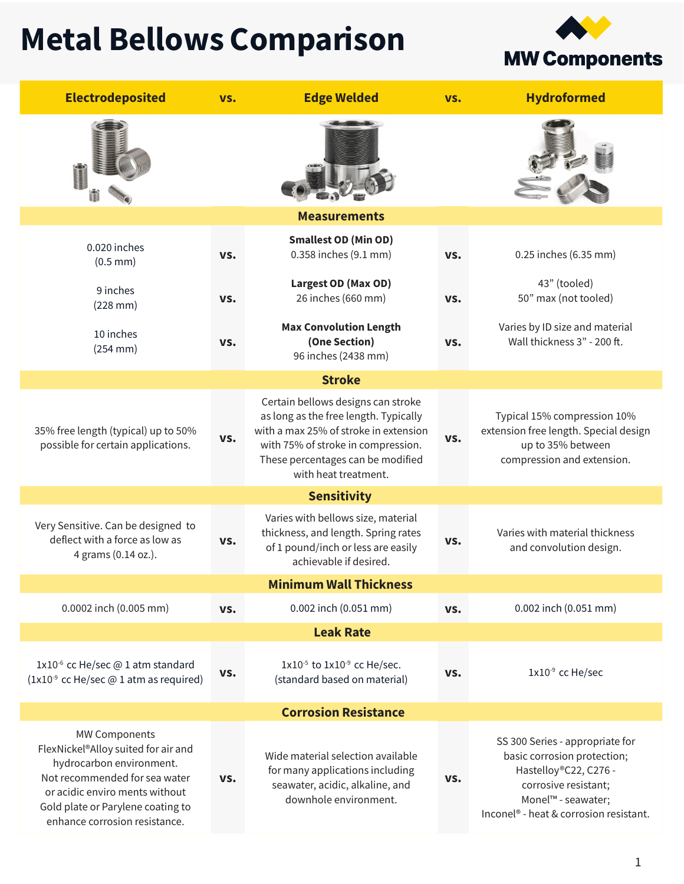## Metal Bellows Comparison

**MW Components** 

| <b>Electrodeposited</b>                                                                                                                                                                                                          | VS. | <b>Edge Welded</b>                                                                                                                                                                                                      | VS. | <b>Hydroformed</b>                                                                                                                                                                          |  |  |  |  |
|----------------------------------------------------------------------------------------------------------------------------------------------------------------------------------------------------------------------------------|-----|-------------------------------------------------------------------------------------------------------------------------------------------------------------------------------------------------------------------------|-----|---------------------------------------------------------------------------------------------------------------------------------------------------------------------------------------------|--|--|--|--|
|                                                                                                                                                                                                                                  |     |                                                                                                                                                                                                                         |     |                                                                                                                                                                                             |  |  |  |  |
| <b>Measurements</b>                                                                                                                                                                                                              |     |                                                                                                                                                                                                                         |     |                                                                                                                                                                                             |  |  |  |  |
| 0.020 inches<br>$(0.5$ mm $)$                                                                                                                                                                                                    | VS. | <b>Smallest OD (Min OD)</b><br>0.358 inches (9.1 mm)                                                                                                                                                                    | VS. | 0.25 inches (6.35 mm)                                                                                                                                                                       |  |  |  |  |
| 9 inches<br>$(228$ mm $)$                                                                                                                                                                                                        | VS. | Largest OD (Max OD)<br>26 inches (660 mm)                                                                                                                                                                               | VS. | 43" (tooled)<br>50" max (not tooled)                                                                                                                                                        |  |  |  |  |
| 10 inches<br>$(254$ mm $)$                                                                                                                                                                                                       | VS. | <b>Max Convolution Length</b><br>(One Section)<br>96 inches (2438 mm)                                                                                                                                                   | VS. | Varies by ID size and material<br>Wall thickness 3" - 200 ft.                                                                                                                               |  |  |  |  |
| <b>Stroke</b>                                                                                                                                                                                                                    |     |                                                                                                                                                                                                                         |     |                                                                                                                                                                                             |  |  |  |  |
| 35% free length (typical) up to 50%<br>possible for certain applications.                                                                                                                                                        | VS. | Certain bellows designs can stroke<br>as long as the free length. Typically<br>with a max 25% of stroke in extension<br>with 75% of stroke in compression.<br>These percentages can be modified<br>with heat treatment. | VS. | Typical 15% compression 10%<br>extension free length. Special design<br>up to 35% between<br>compression and extension.                                                                     |  |  |  |  |
| <b>Sensitivity</b>                                                                                                                                                                                                               |     |                                                                                                                                                                                                                         |     |                                                                                                                                                                                             |  |  |  |  |
| Very Sensitive. Can be designed to<br>deflect with a force as low as<br>4 grams (0.14 oz.).                                                                                                                                      | VS. | Varies with bellows size, material<br>thickness, and length. Spring rates<br>of 1 pound/inch or less are easily<br>achievable if desired.                                                                               | VS. | Varies with material thickness<br>and convolution design.                                                                                                                                   |  |  |  |  |
| <b>Minimum Wall Thickness</b>                                                                                                                                                                                                    |     |                                                                                                                                                                                                                         |     |                                                                                                                                                                                             |  |  |  |  |
| 0.0002 inch (0.005 mm)                                                                                                                                                                                                           | VS. | 0.002 inch (0.051 mm)                                                                                                                                                                                                   | VS. | 0.002 inch (0.051 mm)                                                                                                                                                                       |  |  |  |  |
|                                                                                                                                                                                                                                  |     | <b>Leak Rate</b>                                                                                                                                                                                                        |     |                                                                                                                                                                                             |  |  |  |  |
| 1x10 <sup>-6</sup> cc He/sec @ 1 atm standard<br>(1x10 <sup>-9</sup> cc He/sec @ 1 atm as required)                                                                                                                              | VS. | $1x10^{-5}$ to $1x10^{-9}$ cc He/sec.<br>(standard based on material)                                                                                                                                                   | VS. | 1x10 <sup>-9</sup> cc He/sec                                                                                                                                                                |  |  |  |  |
| <b>Corrosion Resistance</b>                                                                                                                                                                                                      |     |                                                                                                                                                                                                                         |     |                                                                                                                                                                                             |  |  |  |  |
| <b>MW Components</b><br>FlexNickel®Alloy suited for air and<br>hydrocarbon environment.<br>Not recommended for sea water<br>or acidic enviro ments without<br>Gold plate or Parylene coating to<br>enhance corrosion resistance. | VS. | Wide material selection available<br>for many applications including<br>seawater, acidic, alkaline, and<br>downhole environment.                                                                                        | VS. | SS 300 Series - appropriate for<br>basic corrosion protection;<br>Hastelloy®C22, C276 -<br>corrosive resistant;<br>Monel™ - seawater;<br>Inconel <sup>®</sup> - heat & corrosion resistant. |  |  |  |  |